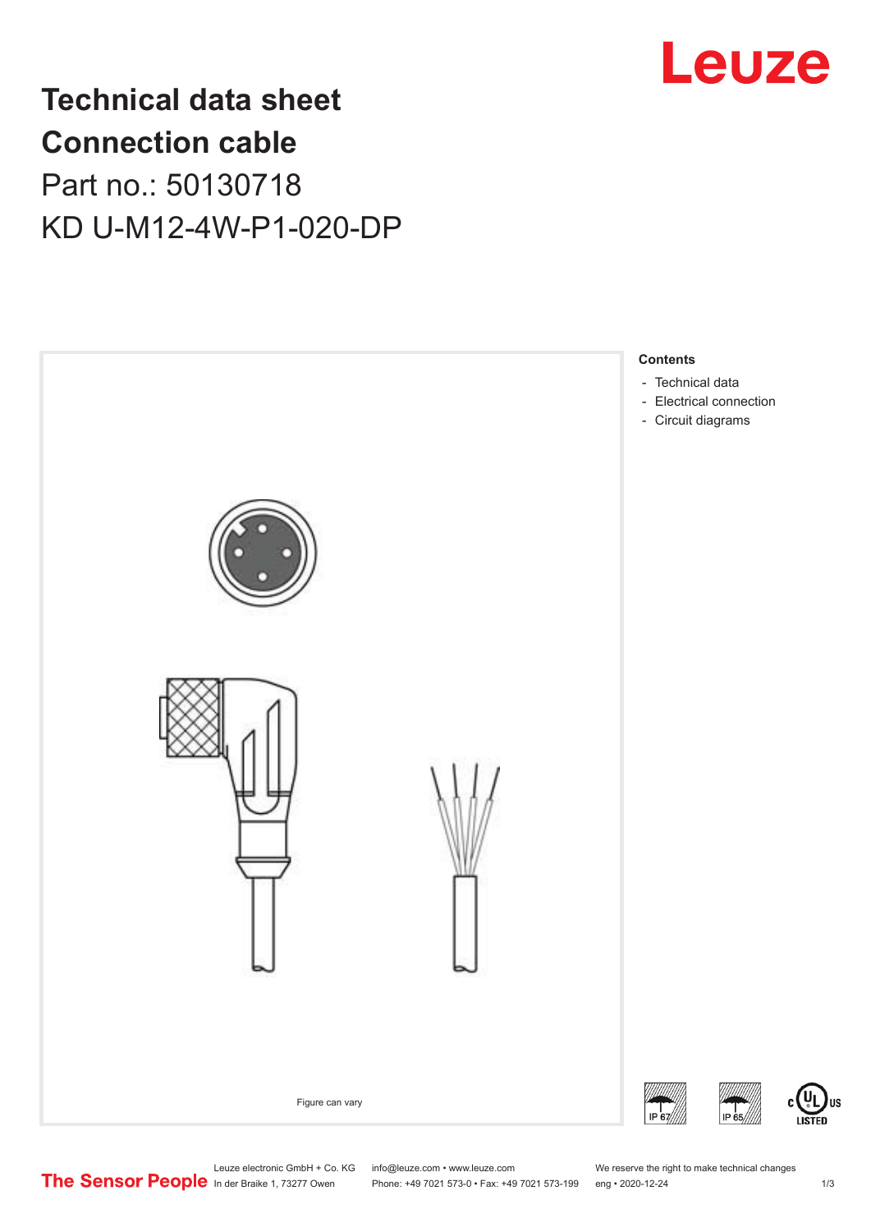

## **Technical data sheet Connection cable** Part no.: 50130718 KD U-M12-4W-P1-020-DP



Leuze electronic GmbH + Co. KG info@leuze.com • www.leuze.com We reserve the right to make technical changes<br>
The Sensor People in der Braike 1, 73277 Owen Phone: +49 7021 573-0 • Fax: +49 7021 573-199 eng • 2020-12-24

Phone: +49 7021 573-0 • Fax: +49 7021 573-199 eng • 2020-12-24 1 2020-12-24

US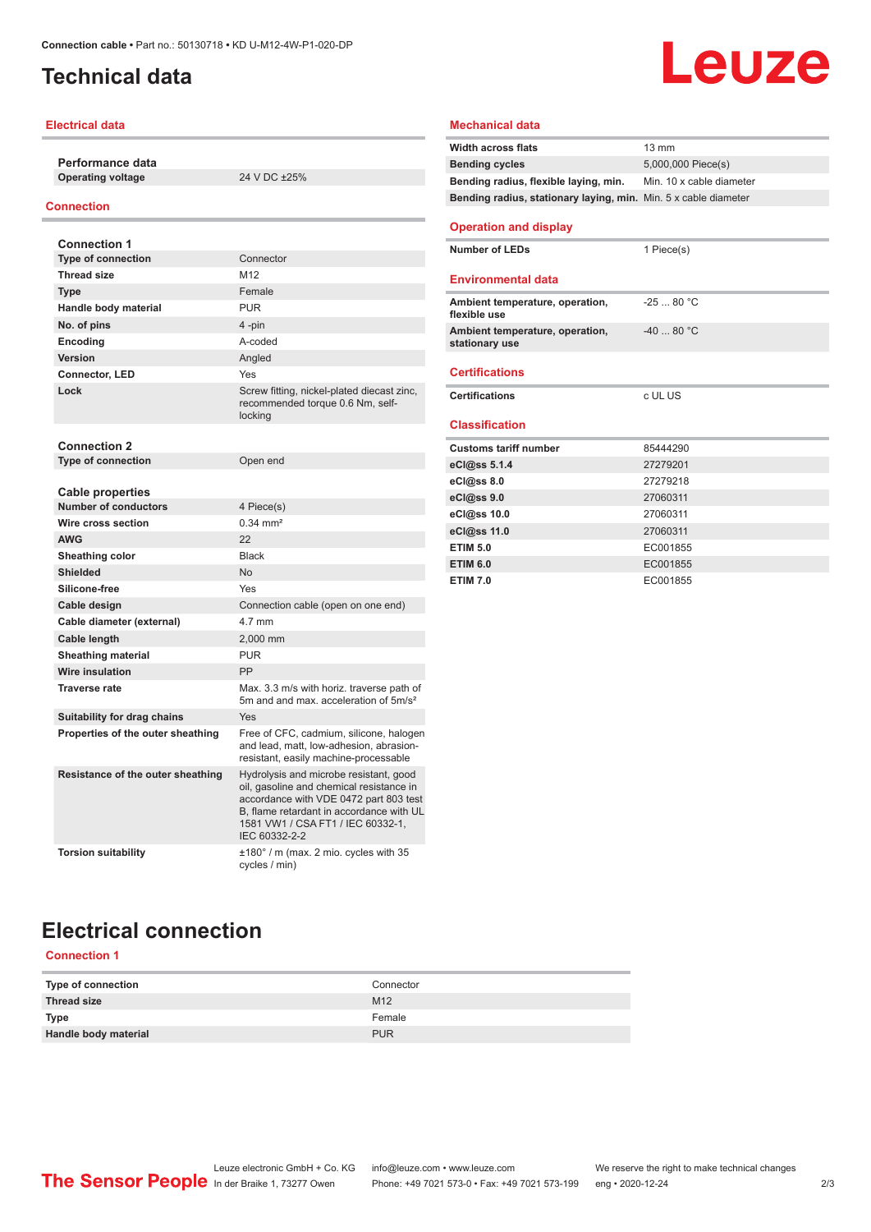## <span id="page-1-0"></span>**Technical data**

### **Electrical data**

**Performance data Operating voltage** 24 V DC ±25%

### **Connection**

| <b>Connection 1</b>               |                                                                                                                                                                                                                                |
|-----------------------------------|--------------------------------------------------------------------------------------------------------------------------------------------------------------------------------------------------------------------------------|
| <b>Type of connection</b>         | Connector                                                                                                                                                                                                                      |
| <b>Thread size</b>                | M12                                                                                                                                                                                                                            |
| <b>Type</b>                       | Female                                                                                                                                                                                                                         |
| Handle body material              | <b>PUR</b>                                                                                                                                                                                                                     |
| No. of pins                       | 4-pin                                                                                                                                                                                                                          |
| Encoding                          | A-coded                                                                                                                                                                                                                        |
| Version                           | Angled                                                                                                                                                                                                                         |
| Connector, LED                    | Yes                                                                                                                                                                                                                            |
| Lock                              | Screw fitting, nickel-plated diecast zinc,<br>recommended torque 0.6 Nm, self-<br>locking                                                                                                                                      |
| <b>Connection 2</b>               |                                                                                                                                                                                                                                |
| <b>Type of connection</b>         | Open end                                                                                                                                                                                                                       |
| <b>Cable properties</b>           |                                                                                                                                                                                                                                |
| <b>Number of conductors</b>       | 4 Piece(s)                                                                                                                                                                                                                     |
| Wire cross section                | $0.34$ mm <sup>2</sup>                                                                                                                                                                                                         |
| <b>AWG</b>                        | 22                                                                                                                                                                                                                             |
| Sheathing color                   | <b>Black</b>                                                                                                                                                                                                                   |
| <b>Shielded</b>                   | <b>No</b>                                                                                                                                                                                                                      |
| Silicone-free                     | Yes                                                                                                                                                                                                                            |
| Cable design                      | Connection cable (open on one end)                                                                                                                                                                                             |
| Cable diameter (external)         | 4.7 mm                                                                                                                                                                                                                         |
| Cable length                      | 2.000 mm                                                                                                                                                                                                                       |
| <b>Sheathing material</b>         | <b>PUR</b>                                                                                                                                                                                                                     |
| Wire insulation                   | <b>PP</b>                                                                                                                                                                                                                      |
| <b>Traverse rate</b>              | Max, 3.3 m/s with horiz, traverse path of<br>5m and and max, acceleration of 5m/s <sup>2</sup>                                                                                                                                 |
| Suitability for drag chains       | Yes                                                                                                                                                                                                                            |
| Properties of the outer sheathing | Free of CFC, cadmium, silicone, halogen<br>and lead, matt, low-adhesion, abrasion-<br>resistant, easily machine-processable                                                                                                    |
| Resistance of the outer sheathing | Hydrolysis and microbe resistant, good<br>oil, gasoline and chemical resistance in<br>accordance with VDE 0472 part 803 test<br>B, flame retardant in accordance with UL<br>1581 VW1 / CSA FT1 / IEC 60332-1,<br>IEC 60332-2-2 |
| <b>Torsion suitability</b>        | $\pm 180^\circ$ / m (max. 2 mio. cycles with 35<br>cycles / min)                                                                                                                                                               |

### **Mechanical data Width across flats** 13 mm **Bending cycles** 5,000,000 Piece(s) **Bending radius, flexible laying, min.** Min. 10 x cable diameter **Bending radius, stationary laying, min.** Min. 5 x cable diameter **Operation and display Number of LEDs** 1 Piece(s) **Environmental data**

| Ambient temperature, operation,<br>$-2580 °C$<br>flexible use<br>Ambient temperature, operation,<br>$-4080 °C$<br>stationary use |  |
|----------------------------------------------------------------------------------------------------------------------------------|--|
|                                                                                                                                  |  |
|                                                                                                                                  |  |

#### **Certifications**

**Certifications** c UL US

### **Classification**

| <b>Customs tariff number</b> | 85444290 |
|------------------------------|----------|
| eCl@ss 5.1.4                 | 27279201 |
| eCl@ss 8.0                   | 27279218 |
| eCl@ss 9.0                   | 27060311 |
| eCl@ss 10.0                  | 27060311 |
| eCl@ss 11.0                  | 27060311 |
| <b>ETIM 5.0</b>              | EC001855 |
| <b>ETIM 6.0</b>              | EC001855 |
| <b>ETIM 7.0</b>              | EC001855 |

## **Electrical connection**

### **Connection 1**

| Type of connection   | Connector       |
|----------------------|-----------------|
| Thread size          | M <sub>12</sub> |
| <b>Type</b>          | Female          |
| Handle body material | <b>PUR</b>      |

# Leuze